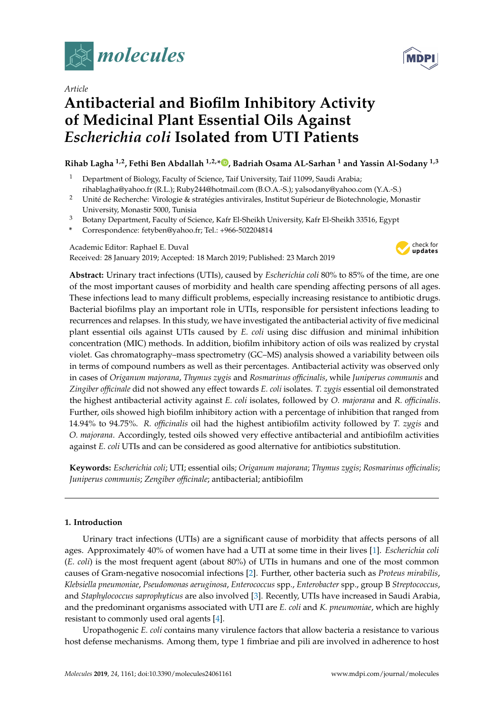

*Article*

# **Antibacterial and Biofilm Inhibitory Activity of Medicinal Plant Essential Oils Against** *Escherichia coli* **Isolated from UTI Patients**

## **Rihab Lagha 1,2, Fethi Ben Abdallah 1,2,[\\*](https://orcid.org/0000-0002-5435-9268) , Badriah Osama AL-Sarhan <sup>1</sup> and Yassin Al-Sodany 1,3**

- <sup>1</sup> Department of Biology, Faculty of Science, Taif University, Taif 11099, Saudi Arabia; rihablagha@yahoo.fr (R.L.); Ruby244@hotmail.com (B.O.A.-S.); yalsodany@yahoo.com (Y.A.-S.)
- <sup>2</sup> Unité de Recherche: Virologie & stratégies antivirales, Institut Supérieur de Biotechnologie, Monastir University, Monastir 5000, Tunisia
- <sup>3</sup> Botany Department, Faculty of Science, Kafr El-Sheikh University, Kafr El-Sheikh 33516, Egypt
- **\*** Correspondence: fetyben@yahoo.fr; Tel.: +966-502204814

# Academic Editor: Raphael E. Duval

Received: 28 January 2019; Accepted: 18 March 2019; Published: 23 March 2019



**Abstract:** Urinary tract infections (UTIs), caused by *Escherichia coli* 80% to 85% of the time, are one of the most important causes of morbidity and health care spending affecting persons of all ages. These infections lead to many difficult problems, especially increasing resistance to antibiotic drugs. Bacterial biofilms play an important role in UTIs, responsible for persistent infections leading to recurrences and relapses. In this study, we have investigated the antibacterial activity of five medicinal plant essential oils against UTIs caused by *E. coli* using disc diffusion and minimal inhibition concentration (MIC) methods. In addition, biofilm inhibitory action of oils was realized by crystal violet. Gas chromatography–mass spectrometry (GC–MS) analysis showed a variability between oils in terms of compound numbers as well as their percentages. Antibacterial activity was observed only in cases of *Origanum majorana*, *Thymus zygis* and *Rosmarinus officinalis*, while *Juniperus communis* and *Zingiber officinale* did not showed any effect towards *E. coli* isolates. *T. zygis* essential oil demonstrated the highest antibacterial activity against *E. coli* isolates, followed by *O. majorana* and *R. officinalis*. Further, oils showed high biofilm inhibitory action with a percentage of inhibition that ranged from 14.94% to 94.75%. *R. officinalis* oil had the highest antibiofilm activity followed by *T. zygis* and *O. majorana*. Accordingly, tested oils showed very effective antibacterial and antibiofilm activities against *E. coli* UTIs and can be considered as good alternative for antibiotics substitution.

**Keywords:** *Escherichia coli*; UTI; essential oils; *Origanum majorana*; *Thymus zygis*; *Rosmarinus officinalis*; *Juniperus communis*; *Zengiber officinale*; antibacterial; antibiofilm

# **1. Introduction**

Urinary tract infections (UTIs) are a significant cause of morbidity that affects persons of all ages. Approximately 40% of women have had a UTI at some time in their lives [\[1\]](#page-9-0). *Escherichia coli* (*E. coli*) is the most frequent agent (about 80%) of UTIs in humans and one of the most common causes of Gram-negative nosocomial infections [\[2\]](#page-9-1). Further, other bacteria such as *Proteus mirabilis*, *Klebsiella pneumoniae*, *Pseudomonas aeruginosa*, *Enterococcus* spp., *Enterobacter* spp., group B *Streptococcus*, and *Staphylococcus saprophyticus* are also involved [\[3\]](#page-9-2). Recently, UTIs have increased in Saudi Arabia, and the predominant organisms associated with UTI are *E. coli* and *K. pneumoniae*, which are highly resistant to commonly used oral agents [\[4\]](#page-9-3).

Uropathogenic *E. coli* contains many virulence factors that allow bacteria a resistance to various host defense mechanisms. Among them, type 1 fimbriae and pili are involved in adherence to host

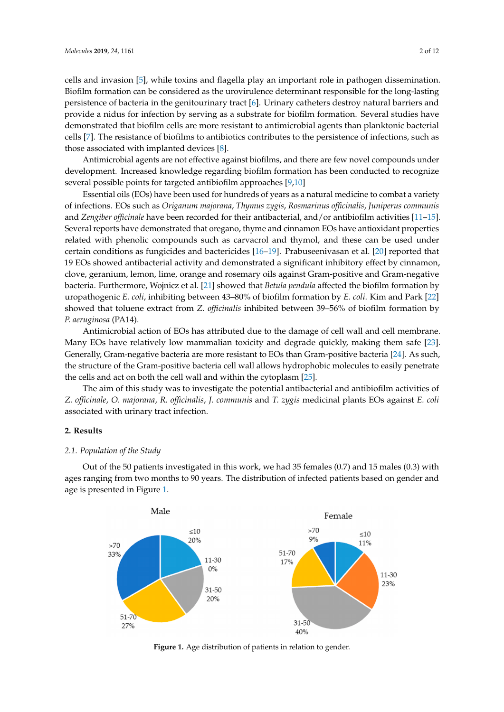cells and invasion [\[5\]](#page-9-4), while toxins and flagella play an important role in pathogen dissemination. *Molecules* **2019**, *24*, x 2 of 13 Biofilm formation can be considered as the urovirulence determinant responsible for the long-lasting persistence of bacteria in the genitourinary tract [\[6\]](#page-9-5). Urinary catheters destroy natural barriers and provide a nidus for infection by serving as a substrate for biofilm formation. Several studies have demonstrated that biofilm cells are more resistant to antimicrobial agents than planktonic bacterial cells [\[7\]](#page-9-6). The resistance of biofilms to antibiotics contributes to the persistence of infections, such as those associated with implanted devices  $[8]$ .

Antimicrobial agents are not effective against biofilms, and there are few novel compounds under development. Increased knowledge regarding biofilm formation has been conducted to recognize several possible points for targeted antibiofilm approaches [\[9](#page-9-8)[,10\]](#page-9-9)

Essential oils (EOs) have been used for hundreds of years as a natural medicine to combat a variety of infections. EOs such as *Origanum majorana*, *Thymus zygis, Rosmarinus officinalis*, Juniperus communis and *Zengiber officinale* have been recorded for their antibacterial, and/or antibiofilm activities [11-[15\]](#page-10-0). Several reports have demonstrated that oregano, thyme and cinnamon EOs have antioxidant properties related with phenolic compounds such as carvacrol and thymol, and these can be used under certain conditions as fungicides and bactericides [\[16](#page-10-1)[–19\]](#page-10-2). Prabuseenivasan et al. [\[20\]](#page-10-3) reported that oregano, that oregano, the monstrated that oregano, the monstrated that oregano, the monstrated that or monstrated that 19 EOs showed antibacterial activity and demonstrated a significant inhibitory effect by cinnamon, clove, geranium, lemon, lime, orange and rosemary oils against Gram-positive and Gram-negative bacteria. Furthermore, Wojnicz et al. [\[21\]](#page-10-4) showed that *Betula pendula* affected the biofilm formation by uropathogenic *E. coli,* inhibiting between 43–80% of biofilm formation by *E. coli*. Kim and Park [\[22\]](#page-10-5) showed that toluene extract from *Z. officinalis* inhibited between 39–56% of biofilm formation by *P. aeruginosa* (PA14). be used under certain activity and demonstrated a significant materies y effect by emating

Antimicrobial action of EOs has attributed due to the damage of cell wall and cell membrane. Many EOs have relatively low mammalian toxicity and degrade quickly, making them safe [\[23\]](#page-10-6). Generally, Gram-negative bacteria are more resistant to EOs than Gram-positive bacteria [\[24\]](#page-10-7). As such, the structure of the Gram-positive bacteria cell wall allows hydrophobic molecules to easily penetrate the cells and act on both the cell wall and within the cytoplasm  $[25]$ .

The aim of this study was to investigate the potential antibacterial and antibiofilm activities of Z. officinale, O. majorana, R. officinalis, J. communis and T. zygis medicinal plants EOs against E. coli *associated with urinary tract infection.* 

#### **2. Results**

### *2.1. Population of the Study*

associated with urinary tract infection.

Out of the 50 patients investigated in this work, we had 35 females (0.7) and 15 males (0.3) with ages ranging from two months to 90 years. The distribution of infected patients based on gender and age is presented in Figure [1.](#page-1-0)

<span id="page-1-0"></span>

**Figure 1.** Age distribution of patients in relation to gender. **Figure 1.** Age distribution of patients in relation to gender.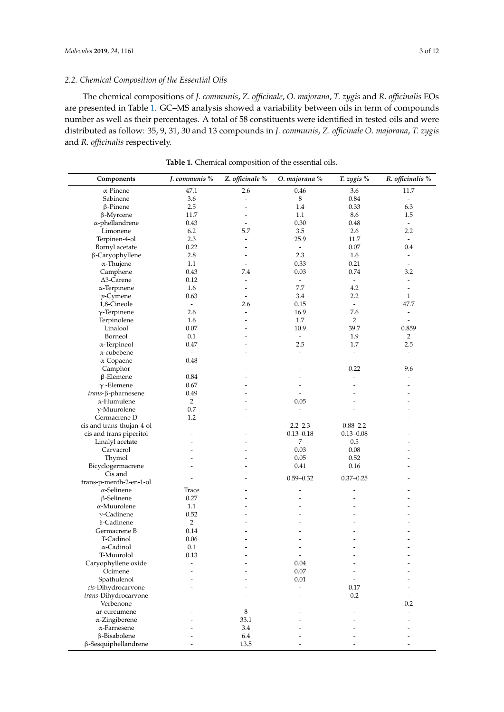## *2.2. Chemical Composition of the Essential Oils*

The chemical compositions of *J. communis*, *Z. officinale*, *O. majorana*, *T. zygis* and *R. officinalis* EOs are presented in Table [1.](#page-2-0) GC–MS analysis showed a variability between oils in term of compounds number as well as their percentages. A total of 58 constituents were identified in tested oils and were distributed as follow: 35, 9, 31, 30 and 13 compounds in *J. communis*, *Z. officinale O. majorana*, *T. zygis* and *R. officinalis* respectively.

<span id="page-2-0"></span>

| Components                  | J. communis %            | Z. officinale %              | O. majorana %            | T. zygis $\%$            | R. officinalis %         |
|-----------------------------|--------------------------|------------------------------|--------------------------|--------------------------|--------------------------|
| $\alpha$ -Pinene            | 47.1                     | 2.6                          | 0.46                     | 3.6                      | 11.7                     |
| Sabinene                    | 3.6                      | $\qquad \qquad \blacksquare$ | $\,8\,$                  | 0.84                     | $\overline{\phantom{a}}$ |
| $\beta$ -Pinene             | 2.5                      | ٠                            | 1.4                      | 0.33                     | 6.3                      |
| $\beta$ -Myrcene            | 11.7                     |                              | 1.1                      | 8.6                      | 1.5                      |
| $\alpha$ -phellandrene      | 0.43                     |                              | 0.30                     | 0.48                     | $\omega$                 |
| Limonene                    | 6.2                      | 5.7                          | 3.5                      | 2.6                      | 2.2                      |
| Terpinen-4-ol               | 2.3                      | -                            | 25.9                     | 11.7                     | $\overline{\phantom{a}}$ |
| Bornyl acetate              | 0.22                     | $\overline{\phantom{a}}$     | $\omega$                 | 0.07                     | 0.4                      |
| β-Caryophyllene             | 2.8                      |                              | 2.3                      | 1.6                      | $\overline{\phantom{a}}$ |
| $\alpha$ -Thujene           | 1.1                      |                              | 0.33                     | 0.21                     | $\overline{\phantom{a}}$ |
| Camphene                    | 0.43                     | 7.4                          | 0.03                     | 0.74                     | 3.2                      |
| $\Delta$ 3-Carene           | 0.12                     | -                            | $\overline{\phantom{a}}$ | $\blacksquare$           | $\overline{\phantom{a}}$ |
| $\alpha$ -Terpinene         | 1.6                      |                              | 7.7                      | 4.2                      | $\overline{\phantom{m}}$ |
| $p$ -Cymene                 | 0.63                     |                              | 3.4                      | 2.2                      | $\mathbf{1}$             |
| 1,8-Cineole                 | $\Box$                   | 2.6                          | 0.15                     | $\overline{\phantom{a}}$ | 47.7                     |
| $\gamma$ -Terpinene         | 2.6                      | ÷,                           | 16.9                     | 7.6                      | ÷,                       |
|                             | 1.6                      |                              | 1.7                      | 2                        | ÷                        |
| Terpinolene                 | 0.07                     |                              | 10.9                     | 39.7                     | 0.859                    |
| Linalool                    |                          |                              | $\blacksquare$           |                          |                          |
| Borneol                     | 0.1                      |                              |                          | 1.9                      | $\overline{2}$           |
| $\alpha$ -Terpineol         | 0.47                     |                              | 2.5                      | 1.7                      | 2.5                      |
| $\alpha$ -cubebene          | $\equiv$                 |                              | ÷,                       | L,                       | $\overline{\phantom{a}}$ |
| $\alpha$ -Copaene           | 0.48                     |                              | $\overline{a}$           | L.                       | $\rightarrow$            |
| Camphor                     | $\blacksquare$           |                              |                          | 0.22                     | 9.6                      |
| $\beta$ -Elemene            | 0.84                     |                              |                          |                          | $\overline{\phantom{a}}$ |
| $\gamma$ -Elemene           | 0.67                     |                              |                          |                          |                          |
| trans-β-pharnesene          | 0.49                     |                              |                          |                          |                          |
| α-Humulene                  | 2                        |                              | 0.05                     |                          |                          |
| $\gamma$ -Muurolene         | 0.7                      |                              | $\frac{1}{2}$            |                          |                          |
| Germacrene D                | 1.2                      |                              |                          |                          |                          |
| cis and trans-thujan-4-ol   | $\overline{\phantom{a}}$ |                              | $2.2 - 2.3$              | $0.88 - 2.2$             |                          |
| cis and trans piperitol     | $\overline{\phantom{a}}$ |                              | $0.13 - 0.18$            | $0.13 - 0.08$            |                          |
| Linalyl acetate             |                          |                              | 7                        | 0.5                      |                          |
| Carvacrol                   |                          |                              | 0.03                     | 0.08                     |                          |
| Thymol                      | $\overline{\phantom{a}}$ |                              | 0.05                     | 0.52                     |                          |
| Bicyclogermacrene           | ÷                        |                              | 0.41                     | 0.16                     | ٠                        |
| Cis and                     |                          |                              | $0.59 - 0.32$            | $0.37 - 0.25$            |                          |
| trans-p-menth-2-en-1-ol     |                          |                              |                          |                          |                          |
| $\alpha$ -Selinene          | Trace                    |                              |                          |                          |                          |
| $\beta$ -Selinene           | 0.27                     |                              |                          |                          |                          |
| $\alpha$ -Muurolene         | 1.1                      |                              |                          |                          |                          |
| $\gamma$ -Cadinene          | 0.52                     |                              |                          |                          |                          |
| $\delta$ -Cadinene          | $\overline{2}$           |                              |                          |                          |                          |
| Germacrene B                | 0.14                     |                              |                          |                          |                          |
| T-Cadinol                   | 0.06                     |                              |                          |                          |                          |
| $\alpha$ -Cadinol           | 0.1                      |                              |                          |                          |                          |
| T-Muurolol                  | 0.13                     |                              | $\overline{\phantom{m}}$ |                          |                          |
| Caryophyllene oxide         | L,                       |                              | 0.04                     |                          |                          |
| Ocimene                     |                          |                              | 0.07                     |                          |                          |
| Spathulenol                 |                          |                              | 0.01                     |                          |                          |
| cis-Dihydrocarvone          |                          |                              | $\overline{a}$           | 0.17                     |                          |
| trans-Dihydrocarvone        |                          |                              |                          | 0.2                      | $\overline{\phantom{m}}$ |
| Verbenone                   |                          |                              |                          |                          | 0.2                      |
| ar-curcumene                |                          | 8                            |                          |                          | ÷                        |
| α-Zingiberene               |                          | 33.1                         |                          |                          |                          |
| $\alpha$ -Farnesene         |                          | 3.4                          |                          |                          |                          |
| β-Bisabolene                |                          | 6.4                          |                          |                          |                          |
| $\beta$ -Sesquiphellandrene |                          | 13.5                         |                          |                          |                          |

**Table 1.** Chemical composition of the essential oils.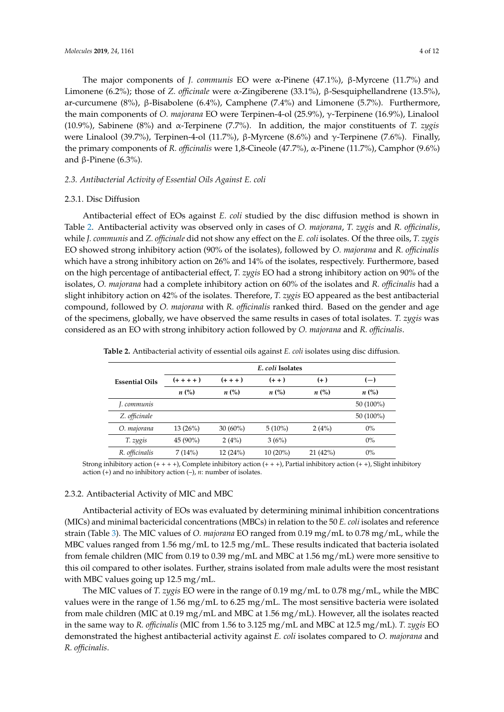The major components of *J. communis* EO were α-Pinene (47.1%), β-Myrcene (11.7%) and Limonene (6.2%); those of *Z. officinale* were α-Zingiberene (33.1%), β-Sesquiphellandrene (13.5%), ar-curcumene (8%), β-Bisabolene (6.4%), Camphene (7.4%) and Limonene (5.7%). Furthermore, the main components of *O. majorana* EO were Terpinen-4-ol (25.9%), γ-Terpinene (16.9%), Linalool (10.9%), Sabinene (8%) and α-Terpinene (7.7%). In addition, the major constituents of *T. zygis* were Linalool (39.7%), Terpinen-4-ol (11.7%), β-Myrcene (8.6%) and γ-Terpinene (7.6%). Finally, the primary components of *R. officinalis* were 1,8-Cineole (47.7%), α-Pinene (11.7%), Camphor (9.6%) and β-Pinene (6.3%).

## *2.3. Antibacterial Activity of Essential Oils Against E. coli*

## 2.3.1. Disc Diffusion

Antibacterial effect of EOs against *E. coli* studied by the disc diffusion method is shown in Table [2.](#page-3-0) Antibacterial activity was observed only in cases of *O. majorana*, *T. zygis* and *R. officinalis*, while *J. communis* and *Z. officinale* did not show any effect on the *E. coli* isolates. Of the three oils, *T. zygis* EO showed strong inhibitory action (90% of the isolates), followed by *O. majorana* and *R. officinalis* which have a strong inhibitory action on 26% and 14% of the isolates, respectively. Furthermore, based on the high percentage of antibacterial effect, *T. zygis* EO had a strong inhibitory action on 90% of the isolates, *O. majorana* had a complete inhibitory action on 60% of the isolates and *R. officinalis* had a slight inhibitory action on 42% of the isolates. Therefore, *T. zygis* EO appeared as the best antibacterial compound, followed by *O. majorana* with *R. officinalis* ranked third. Based on the gender and age of the specimens, globally, we have observed the same results in cases of total isolates. *T. zygis* was considered as an EO with strong inhibitory action followed by *O. majorana* and *R. officinalis*.

|                       | E. coli Isolates |            |            |           |              |  |  |
|-----------------------|------------------|------------|------------|-----------|--------------|--|--|
| <b>Essential Oils</b> | $(+ + + +)$      | $(+ + +)$  | $(+ +)$    | $(+)$     | $(-)$        |  |  |
|                       | $n\ (\%)$        | $n\ (\%)$  | $n\ (\%)$  | $n\ (\%)$ | $n\ (\%)$    |  |  |
| J. communis           |                  |            |            |           | 50 $(100\%)$ |  |  |
| Z. officinale         |                  |            |            |           | 50 (100%)    |  |  |
| O. majorana           | $13(26\%)$       | $30(60\%)$ | $5(10\%)$  | 2(4%)     | $0\%$        |  |  |
| T. zygis              | 45 (90%)         | 2(4%)      | 3(6%)      |           | $0\%$        |  |  |
| R. officinalis        | 7(14%)           | 12(24%)    | $10(20\%)$ | 21(42%)   | $0\%$        |  |  |

<span id="page-3-0"></span>**Table 2.** Antibacterial activity of essential oils against *E. coli* isolates using disc diffusion.

Strong inhibitory action  $(+ + + +)$ , Complete inhibitory action  $(+ +)$ , Partial inhibitory action  $(+ +)$ , Slight inhibitory action (+) and no inhibitory action (–), *n*: number of isolates.

## 2.3.2. Antibacterial Activity of MIC and MBC

Antibacterial activity of EOs was evaluated by determining minimal inhibition concentrations (MICs) and minimal bactericidal concentrations (MBCs) in relation to the 50 *E. coli* isolates and reference strain (Table [3\)](#page-4-0). The MIC values of *O. majorana* EO ranged from 0.19 mg/mL to 0.78 mg/mL, while the MBC values ranged from 1.56 mg/mL to 12.5 mg/mL. These results indicated that bacteria isolated from female children (MIC from 0.19 to 0.39 mg/mL and MBC at 1.56 mg/mL) were more sensitive to this oil compared to other isolates. Further, strains isolated from male adults were the most resistant with MBC values going up 12.5 mg/mL.

The MIC values of *T. zygis* EO were in the range of 0.19 mg/mL to 0.78 mg/mL, while the MBC values were in the range of 1.56 mg/mL to 6.25 mg/mL. The most sensitive bacteria were isolated from male children (MIC at 0.19 mg/mL and MBC at 1.56 mg/mL). However, all the isolates reacted in the same way to *R. officinalis* (MIC from 1.56 to 3.125 mg/mL and MBC at 12.5 mg/mL). *T. zygis* EO demonstrated the highest antibacterial activity against *E. coli* isolates compared to *O. majorana* and *R. officinalis*.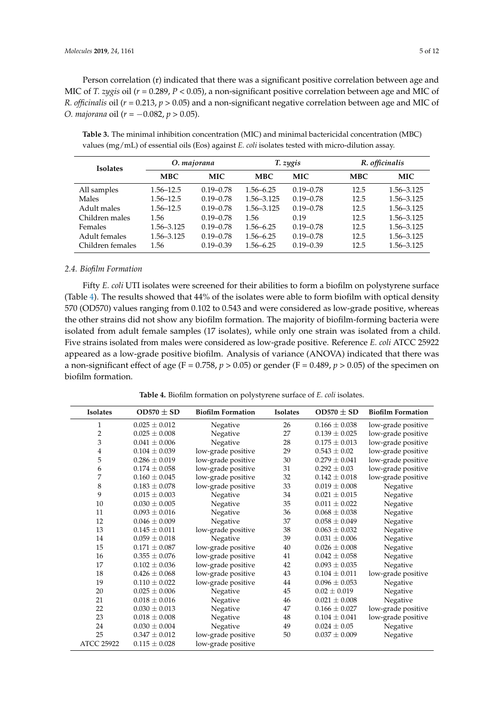Person correlation (r) indicated that there was a significant positive correlation between age and MIC of *T. zygis* oil (*r* = 0.289, *P* < 0.05), a non-significant positive correlation between age and MIC of *R. officinalis* oil (*r* = 0.213, *p* > 0.05) and a non-significant negative correlation between age and MIC of *O. majorana* oil (*r* = −0.082, *p* > 0.05).

<span id="page-4-0"></span>**Table 3.** The minimal inhibition concentration (MIC) and minimal bactericidal concentration (MBC) values (mg/mL) of essential oils (Eos) against *E. coli* isolates tested with micro-dilution assay.

| <b>Isolates</b>  | O. majorana   |               | T. zygis      |               | R. officinalis |            |
|------------------|---------------|---------------|---------------|---------------|----------------|------------|
|                  | <b>MBC</b>    | <b>MIC</b>    | <b>MBC</b>    | <b>MIC</b>    | <b>MBC</b>     | <b>MIC</b> |
| All samples      | $1.56 - 12.5$ | $0.19 - 0.78$ | $1.56 - 6.25$ | $0.19 - 0.78$ | 12.5           | 1.56–3.125 |
| Males            | $1.56 - 12.5$ | $0.19 - 0.78$ | 1.56–3.125    | $0.19 - 0.78$ | 12.5           | 1.56–3.125 |
| Adult males      | 1.56-12.5     | $0.19 - 0.78$ | 1.56-3.125    | $0.19 - 0.78$ | 12.5           | 1.56-3.125 |
| Children males   | 1.56          | $0.19 - 0.78$ | 1.56          | 0.19          | 12.5           | 1.56-3.125 |
| <b>Females</b>   | 1.56–3.125    | $0.19 - 0.78$ | $1.56 - 6.25$ | $0.19 - 0.78$ | 12.5           | 1.56-3.125 |
| Adult females    | 1.56-3.125    | $0.19 - 0.78$ | $1.56 - 6.25$ | $0.19 - 0.78$ | 12.5           | 1.56-3.125 |
| Children females | 1.56          | $0.19 - 0.39$ | $1.56 - 6.25$ | $0.19 - 0.39$ | 12.5           | 1.56-3.125 |

## *2.4. Biofilm Formation*

Fifty *E. coli* UTI isolates were screened for their abilities to form a biofilm on polystyrene surface (Table [4\)](#page-4-1). The results showed that 44% of the isolates were able to form biofilm with optical density 570 (OD570) values ranging from 0.102 to 0.543 and were considered as low-grade positive, whereas the other strains did not show any biofilm formation. The majority of biofilm-forming bacteria were isolated from adult female samples (17 isolates), while only one strain was isolated from a child. Five strains isolated from males were considered as low-grade positive. Reference *E. coli* ATCC 25922 appeared as a low-grade positive biofilm. Analysis of variance (ANOVA) indicated that there was a non-significant effect of age (F =  $0.758$ ,  $p > 0.05$ ) or gender (F =  $0.489$ ,  $p > 0.05$ ) of the specimen on biofilm formation.

**Table 4.** Biofilm formation on polystyrene surface of *E. coli* isolates.

<span id="page-4-1"></span>

| <b>Isolates</b>   | $OD570 \pm SD$    | <b>Biofilm Formation</b> | <b>Isolates</b> | OD570 $\pm$ SD    | <b>Biofilm Formation</b> |
|-------------------|-------------------|--------------------------|-----------------|-------------------|--------------------------|
| 1                 | $0.025 \pm 0.012$ | Negative                 | 26              | $0.166 \pm 0.038$ | low-grade positive       |
| 2                 | $0.025 \pm 0.008$ | Negative                 | 27              | $0.139 \pm 0.025$ | low-grade positive       |
| 3                 | $0.041 \pm 0.006$ | Negative                 | 28              | $0.175 \pm 0.013$ | low-grade positive       |
| $\overline{4}$    | $0.104 \pm 0.039$ | low-grade positive       | 29              | $0.543 \pm 0.02$  | low-grade positive       |
| 5                 | $0.286 \pm 0.019$ | low-grade positive       | 30              | $0.279 \pm 0.041$ | low-grade positive       |
| 6                 | $0.174 \pm 0.058$ | low-grade positive       | 31              | $0.292 \pm 0.03$  | low-grade positive       |
| 7                 | $0.160 \pm 0.045$ | low-grade positive       | 32              | $0.142 \pm 0.018$ | low-grade positive       |
| 8                 | $0.183 \pm 0.078$ | low-grade positive       | 33              | $0.019 \pm 0.008$ | Negative                 |
| 9                 | $0.015 \pm 0.003$ | Negative                 | 34              | $0.021 \pm 0.015$ | Negative                 |
| $10\,$            | $0.030 \pm 0.005$ | Negative                 | 35              | $0.011 \pm 0.022$ | Negative                 |
| 11                | $0.093 \pm 0.016$ | Negative                 | 36              | $0.068 \pm 0.038$ | Negative                 |
| 12                | $0.046 \pm 0.009$ | Negative                 | 37              | $0.058 \pm 0.049$ | Negative                 |
| 13                | $0.145 \pm 0.011$ | low-grade positive       | 38              | $0.063 \pm 0.032$ | Negative                 |
| 14                | $0.059 \pm 0.018$ | Negative                 | 39              | $0.031 \pm 0.006$ | Negative                 |
| 15                | $0.171 \pm 0.087$ | low-grade positive       | 40              | $0.026 \pm 0.008$ | Negative                 |
| 16                | $0.355 \pm 0.076$ | low-grade positive       | 41              | $0.042 \pm 0.058$ | Negative                 |
| 17                | $0.102 \pm 0.036$ | low-grade positive       | 42              | $0.093 \pm 0.035$ | Negative                 |
| 18                | $0.426 \pm 0.068$ | low-grade positive       | 43              | $0.104 \pm 0.011$ | low-grade positive       |
| 19                | $0.110 \pm 0.022$ | low-grade positive       | 44              | $0.096 \pm 0.053$ | Negative                 |
| 20                | $0.025 \pm 0.006$ | Negative                 | 45              | $0.02 \pm 0.019$  | Negative                 |
| 21                | $0.018 \pm 0.016$ | Negative                 | 46              | $0.021 \pm 0.008$ | Negative                 |
| 22                | $0.030 \pm 0.013$ | Negative                 | 47              | $0.166 \pm 0.027$ | low-grade positive       |
| 23                | $0.018 \pm 0.008$ | Negative                 | 48              | $0.104 \pm 0.041$ | low-grade positive       |
| 24                | $0.030 \pm 0.004$ | Negative                 | 49              | $0.024 \pm 0.05$  | Negative                 |
| 25                | $0.347 \pm 0.012$ | low-grade positive       | 50              | $0.037 \pm 0.009$ | Negative                 |
| <b>ATCC 25922</b> | $0.115 \pm 0.028$ | low-grade positive       |                 |                   |                          |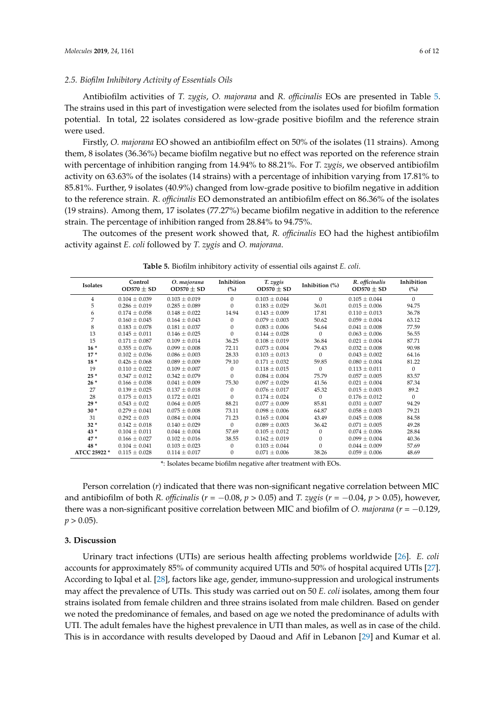## *2.5. Biofilm Inhibitory Activity of Essentials Oils*

Antibiofilm activities of *T. zygis*, *O. majorana* and *R. officinalis* EOs are presented in Table [5.](#page-5-0) The strains used in this part of investigation were selected from the isolates used for biofilm formation potential. In total, 22 isolates considered as low-grade positive biofilm and the reference strain were used.

Firstly, *O. majorana* EO showed an antibiofilm effect on 50% of the isolates (11 strains). Among them, 8 isolates (36.36%) became biofilm negative but no effect was reported on the reference strain with percentage of inhibition ranging from 14.94% to 88.21%. For *T. zygis*, we observed antibiofilm activity on 63.63% of the isolates (14 strains) with a percentage of inhibition varying from 17.81% to 85.81%. Further, 9 isolates (40.9%) changed from low-grade positive to biofilm negative in addition to the reference strain. *R. officinalis* EO demonstrated an antibiofilm effect on 86.36% of the isolates (19 strains). Among them, 17 isolates (77.27%) became biofilm negative in addition to the reference strain. The percentage of inhibition ranged from 28.84% to 94.75%.

The outcomes of the present work showed that, *R. officinalis* EO had the highest antibiofilm activity against *E. coli* followed by *T. zygis* and *O. majorana*.

<span id="page-5-0"></span>

| <b>Isolates</b> | Control<br>$OD570 \pm SD$ | O. majorana<br>OD570 $\pm$ SD | Inhibition<br>(%) | T. zygis<br>OD570 $\pm$ SD | Inhibition $(\%)$ | R. officinalis<br>$OD570 \pm SD$ | Inhibition<br>(%) |
|-----------------|---------------------------|-------------------------------|-------------------|----------------------------|-------------------|----------------------------------|-------------------|
| $\overline{4}$  | $0.104 \pm 0.039$         | $0.103 \pm 0.019$             | $\mathbf{0}$      | $0.103 \pm 0.044$          | $\mathbf{0}$      | $0.105 \pm 0.044$                | $\Omega$          |
| 5               | $0.286 \pm 0.019$         | $0.285 \pm 0.089$             | $\mathbf{0}$      | $0.183 \pm 0.029$          | 36.01             | $0.015 \pm 0.006$                | 94.75             |
| 6               | $0.174 + 0.058$           | $0.148 \pm 0.022$             | 14.94             | $0.143 \pm 0.009$          | 17.81             | $0.110 \pm 0.013$                | 36.78             |
| 7               | $0.160 \pm 0.045$         | $0.164 \pm 0.043$             | $\Omega$          | $0.079 \pm 0.003$          | 50.62             | $0.059 \pm 0.004$                | 63.12             |
| 8               | $0.183 \pm 0.078$         | $0.181 \pm 0.037$             | $\Omega$          | $0.083 \pm 0.006$          | 54.64             | $0.041 \pm 0.008$                | 77.59             |
| 13              | $0.145 \pm 0.011$         | $0.146 \pm 0.025$             | $\mathbf{0}$      | $0.144 \pm 0.028$          | $\mathbf{0}$      | $0.063 \pm 0.006$                | 56.55             |
| 15              | $0.171 \pm 0.087$         | $0.109 + 0.014$               | 36.25             | $0.108 + 0.019$            | 36.84             | $0.021 \pm 0.004$                | 87.71             |
| $16*$           | $0.355 \pm 0.076$         | $0.099 \pm 0.008$             | 72.11             | $0.073 \pm 0.004$          | 79.43             | $0.032 \pm 0.008$                | 90.98             |
| $17*$           | $0.102 \pm 0.036$         | $0.086 \pm 0.003$             | 28.33             | $0.103 \pm 0.013$          | $\mathbf{0}$      | $0.043 \pm 0.002$                | 64.16             |
| $18*$           | $0.426 \pm 0.068$         | $0.089 \pm 0.009$             | 79.10             | $0.171 \pm 0.032$          | 59.85             | $0.080 \pm 0.004$                | 81.22             |
| 19              | $0.110 \pm 0.022$         | $0.109 \pm 0.007$             | $\mathbf{0}$      | $0.118 \pm 0.015$          | $\Omega$          | $0.113 \pm 0.011$                | $\mathbf{0}$      |
| $25*$           | $0.347 \pm 0.012$         | $0.342 + 0.079$               | $\Omega$          | $0.084 + 0.004$            | 75.79             | $0.057 + 0.005$                  | 83.57             |
| $26*$           | $0.166 \pm 0.038$         | $0.041 \pm 0.009$             | 75.30             | $0.097 \pm 0.029$          | 41.56             | $0.021 \pm 0.004$                | 87.34             |
| 27              | $0.139 \pm 0.025$         | $0.137 \pm 0.018$             | $\mathbf{0}$      | $0.076 \pm 0.017$          | 45.32             | $0.015 \pm 0.003$                | 89.2              |
| 28              | $0.175 + 0.013$           | $0.172 + 0.021$               | $\Omega$          | $0.174 + 0.024$            | $\Omega$          | $0.176 + 0.012$                  | $\Omega$          |
| $29*$           | $0.543 \pm 0.02$          | $0.064 \pm 0.005$             | 88.21             | $0.077 \pm 0.009$          | 85.81             | $0.031 \pm 0.007$                | 94.29             |
| $30*$           | $0.279 + 0.041$           | $0.075 \pm 0.008$             | 73.11             | $0.098 \pm 0.006$          | 64.87             | $0.058 \pm 0.003$                | 79.21             |
| 31              | $0.292 \pm 0.03$          | $0.084 \pm 0.004$             | 71.23             | $0.165 \pm 0.004$          | 43.49             | $0.045 \pm 0.008$                | 84.58             |
| $32*$           | $0.142 \pm 0.018$         | $0.140 \pm 0.029$             | $\Omega$          | $0.089 \pm 0.003$          | 36.42             | $0.071 \pm 0.005$                | 49.28             |
| $43*$           | $0.104 \pm 0.011$         | $0.044 + 0.004$               | 57.69             | $0.105 + 0.012$            | $\Omega$          | $0.074 + 0.006$                  | 28.84             |
| $47*$           | $0.166 \pm 0.027$         | $0.102 \pm 0.016$             | 38.55             | $0.162 \pm 0.019$          | $\mathbf{0}$      | $0.099 \pm 0.004$                | 40.36             |
| 48*             | $0.104 \pm 0.041$         | $0.103 \pm 0.023$             | $\mathbf{0}$      | $0.103 \pm 0.044$          | $\Omega$          | $0.044 \pm 0.009$                | 57.69             |
| ATCC 25922 *    | $0.115 \pm 0.028$         | $0.114 \pm 0.017$             | $\mathbf{0}$      | $0.071 \pm 0.006$          | 38.26             | $0.059 \pm 0.006$                | 48.69             |

**Table 5.** Biofilm inhibitory activity of essential oils against *E. coli*.

\*: Isolates became biofilm negative after treatment with EOs.

Person correlation (*r*) indicated that there was non-significant negative correlation between MIC and antibiofilm of both *R. officinalis* ( $r = -0.08$ ,  $p > 0.05$ ) and *T. zygis* ( $r = -0.04$ ,  $p > 0.05$ ), however, there was a non-significant positive correlation between MIC and biofilm of *O. majorana* (*r* = −0.129,  $p > 0.05$ ).

### **3. Discussion**

Urinary tract infections (UTIs) are serious health affecting problems worldwide [\[26\]](#page-10-9). *E. coli* accounts for approximately 85% of community acquired UTIs and 50% of hospital acquired UTIs [\[27\]](#page-10-10). According to Iqbal et al. [\[28\]](#page-10-11), factors like age, gender, immuno-suppression and urological instruments may affect the prevalence of UTIs. This study was carried out on 50 *E. coli* isolates, among them four strains isolated from female children and three strains isolated from male children. Based on gender we noted the predominance of females, and based on age we noted the predominance of adults with UTI. The adult females have the highest prevalence in UTI than males, as well as in case of the child. This is in accordance with results developed by Daoud and Afif in Lebanon [\[29\]](#page-10-12) and Kumar et al.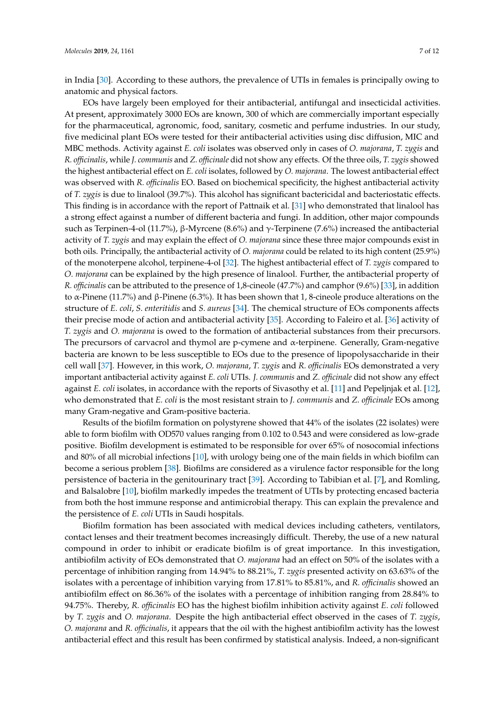in India [\[30\]](#page-10-13). According to these authors, the prevalence of UTIs in females is principally owing to anatomic and physical factors.

EOs have largely been employed for their antibacterial, antifungal and insecticidal activities. At present, approximately 3000 EOs are known, 300 of which are commercially important especially for the pharmaceutical, agronomic, food, sanitary, cosmetic and perfume industries. In our study, five medicinal plant EOs were tested for their antibacterial activities using disc diffusion, MIC and MBC methods. Activity against *E. coli* isolates was observed only in cases of *O. majorana*, *T. zygis* and *R. officinalis*, while *J. communis* and *Z. officinale* did not show any effects. Of the three oils, *T. zygis* showed the highest antibacterial effect on *E. coli* isolates, followed by *O. majorana*. The lowest antibacterial effect was observed with *R. officinalis* EO. Based on biochemical specificity, the highest antibacterial activity of *T. zygis* is due to linalool (39.7%). This alcohol has significant bactericidal and bacteriostatic effects. This finding is in accordance with the report of Pattnaik et al. [\[31\]](#page-10-14) who demonstrated that linalool has a strong effect against a number of different bacteria and fungi. In addition, other major compounds such as Terpinen-4-ol (11.7%), β-Myrcene (8.6%) and  $\gamma$ -Terpinene (7.6%) increased the antibacterial activity of *T. zygis* and may explain the effect of *O. majorana* since these three major compounds exist in both oils. Principally, the antibacterial activity of *O. majorana* could be related to its high content (25.9%) of the monoterpene alcohol, terpinene-4-ol [\[32\]](#page-10-15). The highest antibacterial effect of *T. zygis* compared to *O. majorana* can be explained by the high presence of linalool. Further, the antibacterial property of *R. officinalis* can be attributed to the presence of 1,8-cineole (47.7%) and camphor (9.6%) [\[33\]](#page-10-16), in addition to α-Pinene (11.7%) and β-Pinene (6.3%). It has been shown that 1, 8-cineole produce alterations on the structure of *E. coli*, *S. enteritidis* and *S. aureus* [\[34\]](#page-11-0). The chemical structure of EOs components affects their precise mode of action and antibacterial activity [\[35\]](#page-11-1). According to Faleiro et al. [\[36\]](#page-11-2) activity of *T. zygis* and *O. majorana* is owed to the formation of antibacterial substances from their precursors. The precursors of carvacrol and thymol are p-cymene and α-terpinene. Generally, Gram-negative bacteria are known to be less susceptible to EOs due to the presence of lipopolysaccharide in their cell wall [\[37\]](#page-11-3). However, in this work, *O. majorana*, *T. zygis* and *R. officinalis* EOs demonstrated a very important antibacterial activity against *E. coli* UTIs. *J. communis* and *Z. officinale* did not show any effect against *E. coli* isolates, in accordance with the reports of Sivasothy et al. [\[11\]](#page-9-10) and Pepeljnjak et al. [\[12\]](#page-10-17), who demonstrated that *E. coli* is the most resistant strain to *J. communis* and *Z. officinale* EOs among many Gram-negative and Gram-positive bacteria.

Results of the biofilm formation on polystyrene showed that 44% of the isolates (22 isolates) were able to form biofilm with OD570 values ranging from 0.102 to 0.543 and were considered as low-grade positive. Biofilm development is estimated to be responsible for over 65% of nosocomial infections and 80% of all microbial infections [\[10\]](#page-9-9), with urology being one of the main fields in which biofilm can become a serious problem [\[38\]](#page-11-4). Biofilms are considered as a virulence factor responsible for the long persistence of bacteria in the genitourinary tract [\[39\]](#page-11-5). According to Tabibian et al. [\[7\]](#page-9-6), and Romling, and Balsalobre [\[10\]](#page-9-9), biofilm markedly impedes the treatment of UTIs by protecting encased bacteria from both the host immune response and antimicrobial therapy. This can explain the prevalence and the persistence of *E. coli* UTIs in Saudi hospitals.

Biofilm formation has been associated with medical devices including catheters, ventilators, contact lenses and their treatment becomes increasingly difficult. Thereby, the use of a new natural compound in order to inhibit or eradicate biofilm is of great importance. In this investigation, antibiofilm activity of EOs demonstrated that *O. majorana* had an effect on 50% of the isolates with a percentage of inhibition ranging from 14.94% to 88.21%, *T. zygis* presented activity on 63.63% of the isolates with a percentage of inhibition varying from 17.81% to 85.81%, and *R. officinalis* showed an antibiofilm effect on 86.36% of the isolates with a percentage of inhibition ranging from 28.84% to 94.75%. Thereby, *R. officinalis* EO has the highest biofilm inhibition activity against *E. coli* followed by *T. zygis* and *O. majorana*. Despite the high antibacterial effect observed in the cases of *T. zygis*, *O. majorana* and *R. officinalis*, it appears that the oil with the highest antibiofilm activity has the lowest antibacterial effect and this result has been confirmed by statistical analysis. Indeed, a non-significant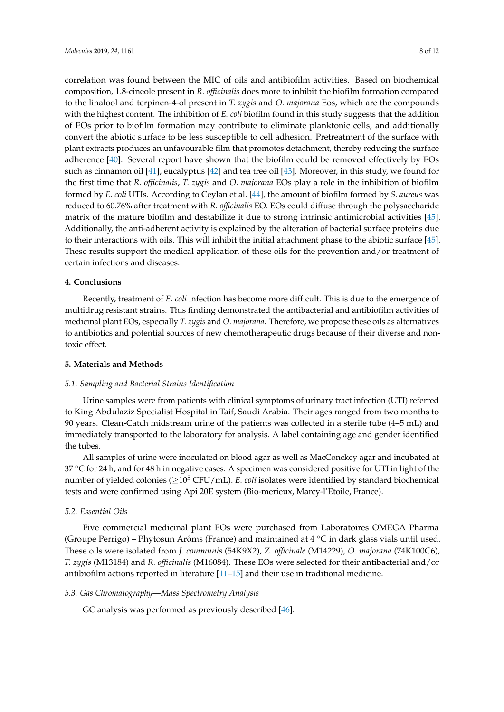correlation was found between the MIC of oils and antibiofilm activities. Based on biochemical composition, 1.8-cineole present in *R. officinalis* does more to inhibit the biofilm formation compared to the linalool and terpinen-4-ol present in *T. zygis* and *O. majorana* Eos, which are the compounds with the highest content. The inhibition of *E. coli* biofilm found in this study suggests that the addition of EOs prior to biofilm formation may contribute to eliminate planktonic cells, and additionally convert the abiotic surface to be less susceptible to cell adhesion. Pretreatment of the surface with plant extracts produces an unfavourable film that promotes detachment, thereby reducing the surface adherence [\[40\]](#page-11-6). Several report have shown that the biofilm could be removed effectively by EOs such as cinnamon oil [\[41\]](#page-11-7), eucalyptus [\[42\]](#page-11-8) and tea tree oil [\[43\]](#page-11-9). Moreover, in this study, we found for the first time that *R. officinalis*, *T. zygis* and *O. majorana* EOs play a role in the inhibition of biofilm formed by *E. coli* UTIs. According to Ceylan et al. [\[44\]](#page-11-10), the amount of biofilm formed by *S. aureus* was reduced to 60.76% after treatment with *R. officinalis* EO. EOs could diffuse through the polysaccharide matrix of the mature biofilm and destabilize it due to strong intrinsic antimicrobial activities [\[45\]](#page-11-11). Additionally, the anti-adherent activity is explained by the alteration of bacterial surface proteins due to their interactions with oils. This will inhibit the initial attachment phase to the abiotic surface [\[45\]](#page-11-11). These results support the medical application of these oils for the prevention and/or treatment of certain infections and diseases.

## **4. Conclusions**

Recently, treatment of *E. coli* infection has become more difficult. This is due to the emergence of multidrug resistant strains. This finding demonstrated the antibacterial and antibiofilm activities of medicinal plant EOs, especially *T. zygis* and *O. majorana*. Therefore, we propose these oils as alternatives to antibiotics and potential sources of new chemotherapeutic drugs because of their diverse and nontoxic effect.

### **5. Materials and Methods**

#### *5.1. Sampling and Bacterial Strains Identification*

Urine samples were from patients with clinical symptoms of urinary tract infection (UTI) referred to King Abdulaziz Specialist Hospital in Taif, Saudi Arabia. Their ages ranged from two months to 90 years. Clean-Catch midstream urine of the patients was collected in a sterile tube (4–5 mL) and immediately transported to the laboratory for analysis. A label containing age and gender identified the tubes.

All samples of urine were inoculated on blood agar as well as MacConckey agar and incubated at  $37^{\circ}$ C for 24 h, and for 48 h in negative cases. A specimen was considered positive for UTI in light of the number of yielded colonies (≥10<sup>5</sup> CFU/mL). *E. coli* isolates were identified by standard biochemical tests and were confirmed using Api 20E system (Bio-merieux, Marcy-l'Étoile, France).

#### *5.2. Essential Oils*

Five commercial medicinal plant EOs were purchased from Laboratoires OMEGA Pharma (Groupe Perrigo) – Phytosun Arôms (France) and maintained at 4 ◦C in dark glass vials until used. These oils were isolated from *J. communis* (54K9X2), *Z. officinale* (M14229), *O. majorana* (74K100C6), *T. zygis* (M13184) and *R. officinalis* (M16084). These EOs were selected for their antibacterial and/or antibiofilm actions reported in literature  $[11-15]$  $[11-15]$  and their use in traditional medicine.

## *5.3. Gas Chromatography—Mass Spectrometry Analysis*

GC analysis was performed as previously described [\[46\]](#page-11-12).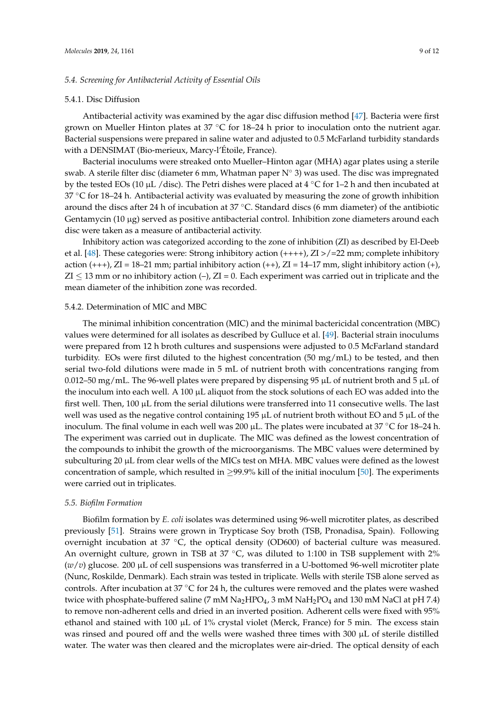## *5.4. Screening for Antibacterial Activity of Essential Oils*

#### 5.4.1. Disc Diffusion

Antibacterial activity was examined by the agar disc diffusion method [\[47\]](#page-11-13). Bacteria were first grown on Mueller Hinton plates at 37  $\degree$ C for 18–24 h prior to inoculation onto the nutrient agar. Bacterial suspensions were prepared in saline water and adjusted to 0.5 McFarland turbidity standards with a DENSIMAT (Bio-merieux, Marcy-l'Étoile, France).

Bacterial inoculums were streaked onto Mueller–Hinton agar (MHA) agar plates using a sterile swab. A sterile filter disc (diameter 6 mm, Whatman paper N<sup>°</sup> 3) was used. The disc was impregnated by the tested EOs (10 µL /disc). The Petri dishes were placed at  $4 °C$  for 1–2 h and then incubated at  $37 \degree$ C for 18–24 h. Antibacterial activity was evaluated by measuring the zone of growth inhibition around the discs after 24 h of incubation at 37 ◦C. Standard discs (6 mm diameter) of the antibiotic Gentamycin (10 µg) served as positive antibacterial control. Inhibition zone diameters around each disc were taken as a measure of antibacterial activity.

Inhibitory action was categorized according to the zone of inhibition (ZI) as described by El-Deeb et al. [\[48\]](#page-11-14). These categories were: Strong inhibitory action (++++), ZI >/=22 mm; complete inhibitory action  $(+++)$ , ZI = 18–21 mm; partial inhibitory action  $(+)$ , ZI = 14–17 mm, slight inhibitory action  $(+)$ , ZI  $\leq$  13 mm or no inhibitory action (-), ZI = 0. Each experiment was carried out in triplicate and the mean diameter of the inhibition zone was recorded.

#### 5.4.2. Determination of MIC and MBC

The minimal inhibition concentration (MIC) and the minimal bactericidal concentration (MBC) values were determined for all isolates as described by Gulluce et al. [\[49\]](#page-11-15). Bacterial strain inoculums were prepared from 12 h broth cultures and suspensions were adjusted to 0.5 McFarland standard turbidity. EOs were first diluted to the highest concentration  $(50 \text{ mg/mL})$  to be tested, and then serial two-fold dilutions were made in 5 mL of nutrient broth with concentrations ranging from 0.012–50 mg/mL. The 96-well plates were prepared by dispensing 95  $\mu$ L of nutrient broth and 5  $\mu$ L of the inoculum into each well. A 100 µL aliquot from the stock solutions of each EO was added into the first well. Then,  $100 \mu L$  from the serial dilutions were transferred into 11 consecutive wells. The last well was used as the negative control containing 195 µL of nutrient broth without EO and 5 µL of the inoculum. The final volume in each well was 200  $\mu$ L. The plates were incubated at 37 °C for 18–24 h. The experiment was carried out in duplicate. The MIC was defined as the lowest concentration of the compounds to inhibit the growth of the microorganisms. The MBC values were determined by subculturing 20 µL from clear wells of the MICs test on MHA. MBC values were defined as the lowest concentration of sample, which resulted in  $\geq$ 99.9% kill of the initial inoculum [\[50\]](#page-11-16). The experiments were carried out in triplicates.

## *5.5. Biofilm Formation*

Biofilm formation by *E. coli* isolates was determined using 96-well microtiter plates, as described previously [\[51\]](#page-11-17). Strains were grown in Trypticase Soy broth (TSB, Pronadisa, Spain). Following overnight incubation at 37 ◦C, the optical density (OD600) of bacterial culture was measured. An overnight culture, grown in TSB at 37 °C, was diluted to 1:100 in TSB supplement with 2%  $(w/v)$  glucose. 200 µL of cell suspensions was transferred in a U-bottomed 96-well microtiter plate (Nunc, Roskilde, Denmark). Each strain was tested in triplicate. Wells with sterile TSB alone served as controls. After incubation at 37 ◦C for 24 h, the cultures were removed and the plates were washed twice with phosphate-buffered saline (7 mM  $\text{Na}_2\text{HPO}_4$ , 3 mM  $\text{Na}$ H<sub>2</sub>PO<sub>4</sub> and 130 mM NaCl at pH 7.4) to remove non-adherent cells and dried in an inverted position. Adherent cells were fixed with 95% ethanol and stained with 100  $\mu$ L of 1% crystal violet (Merck, France) for 5 min. The excess stain was rinsed and poured off and the wells were washed three times with 300 µL of sterile distilled water. The water was then cleared and the microplates were air-dried. The optical density of each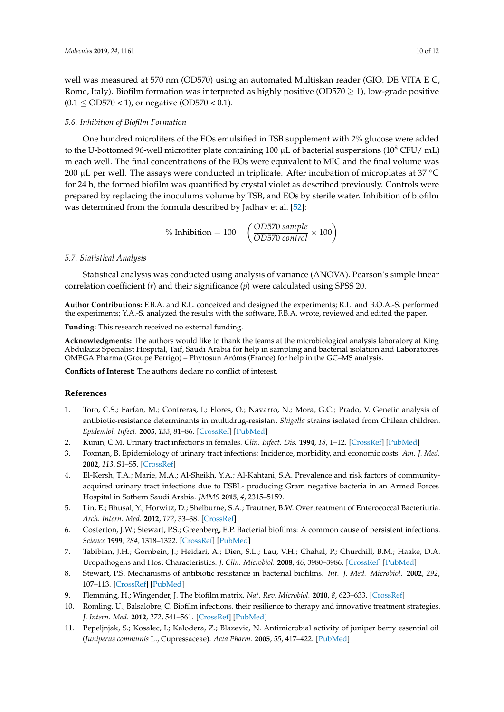well was measured at 570 nm (OD570) using an automated Multiskan reader (GIO. DE VITA E C, Rome, Italy). Biofilm formation was interpreted as highly positive (OD570  $\geq$  1), low-grade positive  $(0.1 \leq$  OD570 < 1), or negative (OD570 < 0.1).

#### *5.6. Inhibition of Biofilm Formation*

One hundred microliters of the EOs emulsified in TSB supplement with 2% glucose were added to the U-bottomed 96-well microtiter plate containing 100  $\mu$ L of bacterial suspensions (10<sup>8</sup> CFU/ mL) in each well. The final concentrations of the EOs were equivalent to MIC and the final volume was 200 µL per well. The assays were conducted in triplicate. After incubation of microplates at  $37^{\circ}$ C for 24 h, the formed biofilm was quantified by crystal violet as described previously. Controls were prepared by replacing the inoculums volume by TSB, and EOs by sterile water. Inhibition of biofilm was determined from the formula described by Jadhav et al. [\[52\]](#page-11-18):

$$
\% Inhibition = 100 - \left(\frac{OD570 \, sample}{OD570 \, control} \times 100\right)
$$

#### *5.7. Statistical Analysis*

Statistical analysis was conducted using analysis of variance (ANOVA). Pearson's simple linear correlation coefficient (*r*) and their significance (*p*) were calculated using SPSS 20.

**Author Contributions:** F.B.A. and R.L. conceived and designed the experiments; R.L. and B.O.A.-S. performed the experiments; Y.A.-S. analyzed the results with the software, F.B.A. wrote, reviewed and edited the paper.

**Funding:** This research received no external funding.

**Acknowledgments:** The authors would like to thank the teams at the microbiological analysis laboratory at King Abdulaziz Specialist Hospital, Taif, Saudi Arabia for help in sampling and bacterial isolation and Laboratoires OMEGA Pharma (Groupe Perrigo) – Phytosun Arôms (France) for help in the GC–MS analysis.

**Conflicts of Interest:** The authors declare no conflict of interest.

#### **References**

- <span id="page-9-0"></span>1. Toro, C.S.; Farfan, M.; Contreras, I.; Flores, O.; Navarro, N.; Mora, G.C.; Prado, V. Genetic analysis of antibiotic-resistance determinants in multidrug-resistant *Shigella* strains isolated from Chilean children. *Epidemiol. Infect.* **2005**, *133*, 81–86. [\[CrossRef\]](http://dx.doi.org/10.1017/S0950268804003048) [\[PubMed\]](http://www.ncbi.nlm.nih.gov/pubmed/15724714)
- <span id="page-9-1"></span>2. Kunin, C.M. Urinary tract infections in females. *Clin. Infect. Dis.* **1994**, *18*, 1–12. [\[CrossRef\]](http://dx.doi.org/10.1093/clinids/18.1.1) [\[PubMed\]](http://www.ncbi.nlm.nih.gov/pubmed/8054415)
- <span id="page-9-2"></span>3. Foxman, B. Epidemiology of urinary tract infections: Incidence, morbidity, and economic costs. *Am. J. Med.* **2002**, *113*, S1–S5. [\[CrossRef\]](http://dx.doi.org/10.1016/S0002-9343(02)01054-9)
- <span id="page-9-3"></span>4. El-Kersh, T.A.; Marie, M.A.; Al-Sheikh, Y.A.; Al-Kahtani, S.A. Prevalence and risk factors of communityacquired urinary tract infections due to ESBL- producing Gram negative bacteria in an Armed Forces Hospital in Sothern Saudi Arabia. *JMMS* **2015**, *4*, 2315–5159.
- <span id="page-9-4"></span>5. Lin, E.; Bhusal, Y.; Horwitz, D.; Shelburne, S.A.; Trautner, B.W. Overtreatment of Enterococcal Bacteriuria. *Arch. Intern. Med.* **2012**, *172*, 33–38. [\[CrossRef\]](http://dx.doi.org/10.1001/archinternmed.2011.565)
- <span id="page-9-5"></span>6. Costerton, J.W.; Stewart, P.S.; Greenberg, E.P. Bacterial biofilms: A common cause of persistent infections. *Science* **1999**, *284*, 1318–1322. [\[CrossRef\]](http://dx.doi.org/10.1126/science.284.5418.1318) [\[PubMed\]](http://www.ncbi.nlm.nih.gov/pubmed/10334980)
- <span id="page-9-6"></span>7. Tabibian, J.H.; Gornbein, J.; Heidari, A.; Dien, S.L.; Lau, V.H.; Chahal, P.; Churchill, B.M.; Haake, D.A. Uropathogens and Host Characteristics. *J. Clin. Microbiol.* **2008**, *46*, 3980–3986. [\[CrossRef\]](http://dx.doi.org/10.1128/JCM.00339-08) [\[PubMed\]](http://www.ncbi.nlm.nih.gov/pubmed/18842936)
- <span id="page-9-7"></span>8. Stewart, P.S. Mechanisms of antibiotic resistance in bacterial biofilms. *Int. J. Med. Microbiol.* **2002**, *292*, 107–113. [\[CrossRef\]](http://dx.doi.org/10.1078/1438-4221-00196) [\[PubMed\]](http://www.ncbi.nlm.nih.gov/pubmed/12195733)
- <span id="page-9-8"></span>9. Flemming, H.; Wingender, J. The biofilm matrix. *Nat. Rev. Microbiol.* **2010**, *8*, 623–633. [\[CrossRef\]](http://dx.doi.org/10.1038/nrmicro2415)
- <span id="page-9-9"></span>10. Romling, U.; Balsalobre, C. Biofilm infections, their resilience to therapy and innovative treatment strategies. *J. Intern. Med.* **2012**, *272*, 541–561. [\[CrossRef\]](http://dx.doi.org/10.1111/joim.12004) [\[PubMed\]](http://www.ncbi.nlm.nih.gov/pubmed/23025745)
- <span id="page-9-10"></span>11. Pepeljnjak, S.; Kosalec, I.; Kalodera, Z.; Blazevic, N. Antimicrobial activity of juniper berry essential oil (*Juniperus communis* L., Cupressaceae). *Acta Pharm.* **2005**, *55*, 417–422. [\[PubMed\]](http://www.ncbi.nlm.nih.gov/pubmed/16375831)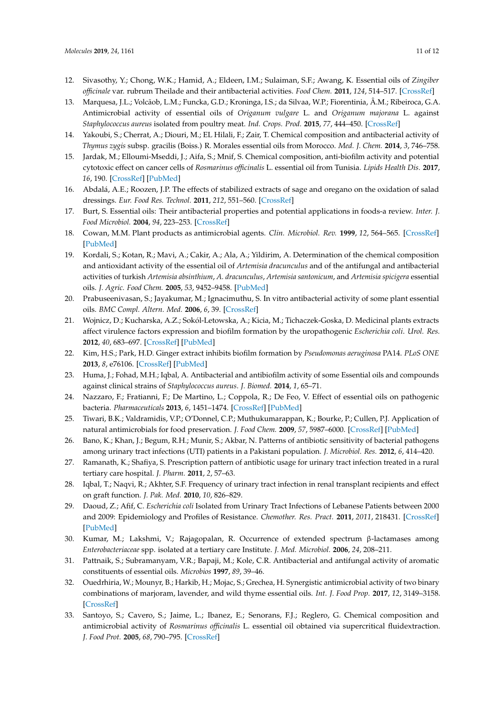- <span id="page-10-17"></span>12. Sivasothy, Y.; Chong, W.K.; Hamid, A.; Eldeen, I.M.; Sulaiman, S.F.; Awang, K. Essential oils of *Zingiber officinale* var. rubrum Theilade and their antibacterial activities. *Food Chem.* **2011**, *124*, 514–517. [\[CrossRef\]](http://dx.doi.org/10.1016/j.foodchem.2010.06.062)
- 13. Marquesa, J.L.; Volcãob, L.M.; Funcka, G.D.; Kroninga, I.S.; da Silvaa, W.P.; Fiorentinia, Â.M.; Ribeiroca, G.A. Antimicrobial activity of essential oils of *Origanum vulgare* L. and *Origanum majorana* L. against *Staphylococcus aureus* isolated from poultry meat. *Ind. Crops. Prod.* **2015**, *77*, 444–450. [\[CrossRef\]](http://dx.doi.org/10.1016/j.indcrop.2015.09.013)
- 14. Yakoubi, S.; Cherrat, A.; Diouri, M.; EL Hilali, F.; Zair, T. Chemical composition and antibacterial activity of *Thymus zygis* subsp. gracilis (Boiss.) R. Morales essential oils from Morocco. *Med. J. Chem.* **2014**, *3*, 746–758.
- <span id="page-10-0"></span>15. Jardak, M.; Elloumi-Mseddi, J.; Aifa, S.; Mnif, S. Chemical composition, anti-biofilm activity and potential cytotoxic effect on cancer cells of *Rosmarinus officinalis* L. essential oil from Tunisia. *Lipids Health Dis.* **2017**, *16*, 190. [\[CrossRef\]](http://dx.doi.org/10.1186/s12944-017-0580-9) [\[PubMed\]](http://www.ncbi.nlm.nih.gov/pubmed/28969677)
- <span id="page-10-1"></span>16. Abdalá, A.E.; Roozen, J.P. The effects of stabilized extracts of sage and oregano on the oxidation of salad dressings. *Eur. Food Res. Technol.* **2011**, *212*, 551–560. [\[CrossRef\]](http://dx.doi.org/10.1007/s002170100288)
- 17. Burt, S. Essential oils: Their antibacterial properties and potential applications in foods-a review. *Inter. J. Food Microbiol.* **2004**, *94*, 223–253. [\[CrossRef\]](http://dx.doi.org/10.1016/j.ijfoodmicro.2004.03.022)
- 18. Cowan, M.M. Plant products as antimicrobial agents. *Clin. Microbiol. Rev.* **1999**, *12*, 564–565. [\[CrossRef\]](http://dx.doi.org/10.1128/CMR.12.4.564) [\[PubMed\]](http://www.ncbi.nlm.nih.gov/pubmed/10515903)
- <span id="page-10-2"></span>19. Kordali, S.; Kotan, R.; Mavi, A.; Cakir, A.; Ala, A.; Yildirim, A. Determination of the chemical composition and antioxidant activity of the essential oil of *Artemisia dracunculus* and of the antifungal and antibacterial activities of turkish *Artemisia absinthium*, *A. dracunculus*, *Artemisia santonicum*, and *Artemisia spicigera* essential oils. *J. Agric. Food Chem.* **2005**, *53*, 9452–9458. [\[PubMed\]](http://www.ncbi.nlm.nih.gov/pubmed/16302761)
- <span id="page-10-3"></span>20. Prabuseenivasan, S.; Jayakumar, M.; Ignacimuthu, S. In vitro antibacterial activity of some plant essential oils. *BMC Compl. Altern. Med.* **2006**, *6*, 39. [\[CrossRef\]](http://dx.doi.org/10.1186/1472-6882-6-39)
- <span id="page-10-4"></span>21. Wojnicz, D.; Kucharska, A.Z.; Sokól-Letowska, A.; Kicia, M.; Tichaczek-Goska, D. Medicinal plants extracts affect virulence factors expression and biofilm formation by the uropathogenic *Escherichia coli*. *Urol. Res.* **2012**, *40*, 683–697. [\[CrossRef\]](http://dx.doi.org/10.1007/s00240-012-0499-6) [\[PubMed\]](http://www.ncbi.nlm.nih.gov/pubmed/22915095)
- <span id="page-10-5"></span>22. Kim, H.S.; Park, H.D. Ginger extract inhibits biofilm formation by *Pseudomonas aeruginosa* PA14. *PLoS ONE* **2013**, *8*, e76106. [\[CrossRef\]](http://dx.doi.org/10.1371/journal.pone.0076106) [\[PubMed\]](http://www.ncbi.nlm.nih.gov/pubmed/24086697)
- <span id="page-10-6"></span>23. Huma, J.; Fohad, M.H.; Iqbal, A. Antibacterial and antibiofilm activity of some Essential oils and compounds against clinical strains of *Staphylococcus aureus*. *J. Biomed.* **2014**, *1*, 65–71.
- <span id="page-10-7"></span>24. Nazzaro, F.; Fratianni, F.; De Martino, L.; Coppola, R.; De Feo, V. Effect of essential oils on pathogenic bacteria. *Pharmaceuticals* **2013**, *6*, 1451–1474. [\[CrossRef\]](http://dx.doi.org/10.3390/ph6121451) [\[PubMed\]](http://www.ncbi.nlm.nih.gov/pubmed/24287491)
- <span id="page-10-8"></span>25. Tiwari, B.K.; Valdramidis, V.P.; O'Donnel, C.P.; Muthukumarappan, K.; Bourke, P.; Cullen, P.J. Application of natural antimicrobials for food preservation. *J. Food Chem.* **2009**, *57*, 5987–6000. [\[CrossRef\]](http://dx.doi.org/10.1021/jf900668n) [\[PubMed\]](http://www.ncbi.nlm.nih.gov/pubmed/19548681)
- <span id="page-10-9"></span>26. Bano, K.; Khan, J.; Begum, R.H.; Munir, S.; Akbar, N. Patterns of antibiotic sensitivity of bacterial pathogens among urinary tract infections (UTI) patients in a Pakistani population. *J. Microbiol. Res.* **2012**, *6*, 414–420.
- <span id="page-10-10"></span>27. Ramanath, K.; Shafiya, S. Prescription pattern of antibiotic usage for urinary tract infection treated in a rural tertiary care hospital. *J. Pharm.* **2011**, *2*, 57–63.
- <span id="page-10-11"></span>28. Iqbal, T.; Naqvi, R.; Akhter, S.F. Frequency of urinary tract infection in renal transplant recipients and effect on graft function. *J. Pak. Med.* **2010**, *10*, 826–829.
- <span id="page-10-12"></span>29. Daoud, Z.; Afif, C. *Escherichia coli* Isolated from Urinary Tract Infections of Lebanese Patients between 2000 and 2009: Epidemiology and Profiles of Resistance. *Chemother. Res. Pract.* **2011**, *2011*, 218431. [\[CrossRef\]](http://dx.doi.org/10.1155/2011/218431) [\[PubMed\]](http://www.ncbi.nlm.nih.gov/pubmed/22295204)
- <span id="page-10-13"></span>30. Kumar, M.; Lakshmi, V.; Rajagopalan, R. Occurrence of extended spectrum β-lactamases among *Enterobacteriaceae* spp. isolated at a tertiary care Institute. *J. Med. Microbiol.* **2006**, *24*, 208–211.
- <span id="page-10-14"></span>31. Pattnaik, S.; Subramanyam, V.R.; Bapaji, M.; Kole, C.R. Antibacterial and antifungal activity of aromatic constituents of essential oils. *Microbios* **1997**, *89*, 39–46.
- <span id="page-10-15"></span>32. Ouedrhiria, W.; Mounyr, B.; Harkib, H.; Mojac, S.; Grechea, H. Synergistic antimicrobial activity of two binary combinations of marjoram, lavender, and wild thyme essential oils. *Int. J. Food Prop.* **2017**, *12*, 3149–3158. [\[CrossRef\]](http://dx.doi.org/10.1080/10942912.2017.1280504)
- <span id="page-10-16"></span>33. Santoyo, S.; Cavero, S.; Jaime, L.; Ibanez, E.; Senorans, F.J.; Reglero, G. Chemical composition and antimicrobial activity of *Rosmarinus officinalis* L. essential oil obtained via supercritical fluidextraction. *J. Food Prot.* **2005**, *68*, 790–795. [\[CrossRef\]](http://dx.doi.org/10.4315/0362-028X-68.4.790)